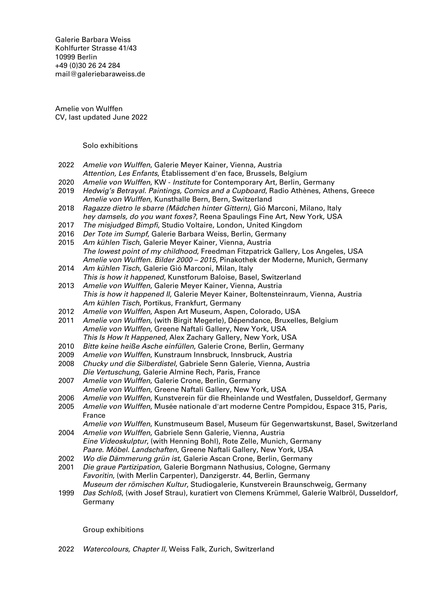Galerie Barbara Weiss [Kohlfurter Strasse 41/43](https://goo.gl/maps/ZQcePopa6uu3a3k19) [10999 Berlin](https://goo.gl/maps/ZQcePopa6uu3a3k19) +49 (0)30 26 24 284 [mail@galeriebaraweiss.de](mailto:mail@galeriebarbaraweiss.de)

Amelie von Wulffen CV, last updated June 2022

Solo exhibitions

| 2022 | Amelie von Wulffen, Galerie Meyer Kainer, Vienna, Austria                                   |
|------|---------------------------------------------------------------------------------------------|
|      | Attention, Les Enfants, Etablissement d'en face, Brussels, Belgium                          |
| 2020 | Amelie von Wulffen, KW - Institute for Contemporary Art, Berlin, Germany                    |
| 2019 | Hedwig's Betrayal. Paintings, Comics and a Cupboard, Radio Athènes, Athens, Greece          |
|      | Amelie von Wulffen, Kunsthalle Bern, Bern, Switzerland                                      |
| 2018 | Ragazze dietro le sbarre (Mädchen hinter Gittern), Gió Marconi, Milano, Italy               |
|      | hey damsels, do you want foxes?, Reena Spaulings Fine Art, New York, USA                    |
| 2017 | The misjudged Bimpfi, Studio Voltaire, London, United Kingdom                               |
| 2016 | Der Tote im Sumpf, Galerie Barbara Weiss, Berlin, Germany                                   |
| 2015 | Am kühlen Tisch, Galerie Meyer Kainer, Vienna, Austria                                      |
|      | The lowest point of my childhood, Freedman Fitzpatrick Gallery, Los Angeles, USA            |
|      | Amelie von Wulffen. Bilder 2000 - 2015, Pinakothek der Moderne, Munich, Germany             |
| 2014 | Am kühlen Tisch, Galerie Gió Marconi, Milan, Italy                                          |
|      | This is how it happened, Kunstforum Baloise, Basel, Switzerland                             |
| 2013 | Amelie von Wulffen, Galerie Meyer Kainer, Vienna, Austria                                   |
|      | This is how it happened II, Galerie Meyer Kainer, Boltensteinraum, Vienna, Austria          |
|      | Am kühlen Tisch, Portikus, Frankfurt, Germany                                               |
| 2012 | Amelie von Wulffen, Aspen Art Museum, Aspen, Colorado, USA                                  |
| 2011 | Amelie von Wulffen, (with Birgit Megerle), Dépendance, Bruxelles, Belgium                   |
|      | Amelie von Wulffen, Greene Naftali Gallery, New York, USA                                   |
|      | This Is How It Happened, Alex Zachary Gallery, New York, USA                                |
| 2010 | Bitte keine heiße Asche einfüllen, Galerie Crone, Berlin, Germany                           |
| 2009 | Amelie von Wulffen, Kunstraum Innsbruck, Innsbruck, Austria                                 |
| 2008 | Chucky und die Silberdistel, Gabriele Senn Galerie, Vienna, Austria                         |
|      | Die Vertuschung, Galerie Almine Rech, Paris, France                                         |
| 2007 | Amelie von Wulffen, Galerie Crone, Berlin, Germany                                          |
|      | Amelie von Wulffen, Greene Naftali Gallery, New York, USA                                   |
| 2006 | Amelie von Wulffen, Kunstverein für die Rheinlande und Westfalen, Dusseldorf, Germany       |
| 2005 | Amelie von Wulffen, Musée nationale d'art moderne Centre Pompidou, Espace 315, Paris,       |
|      | France                                                                                      |
|      | Amelie von Wulffen, Kunstmuseum Basel, Museum für Gegenwartskunst, Basel, Switzerland       |
| 2004 | Amelie von Wulffen, Gabriele Senn Galerie, Vienna, Austria                                  |
|      | Eine Videoskulptur, (with Henning Bohl), Rote Zelle, Munich, Germany                        |
|      | Paare. Möbel. Landschaften, Greene Naftali Gallery, New York, USA                           |
| 2002 | Wo die Dämmerung grün ist, Galerie Ascan Crone, Berlin, Germany                             |
| 2001 | Die graue Partizipation, Galerie Borgmann Nathusius, Cologne, Germany                       |
|      | Favoritin, (with Merlin Carpenter), Danzigerstr. 44, Berlin, Germany                        |
|      | Museum der römischen Kultur, Studiogalerie, Kunstverein Braunschweig, Germany               |
| 1999 | Das Schloß, (with Josef Strau), kuratiert von Clemens Krümmel, Galerie Walbröl, Dusseldorf, |
|      | Germany                                                                                     |
|      |                                                                                             |

Group exhibitions

2022 Watercolours, Chapter II, Weiss Falk, Zurich, Switzerland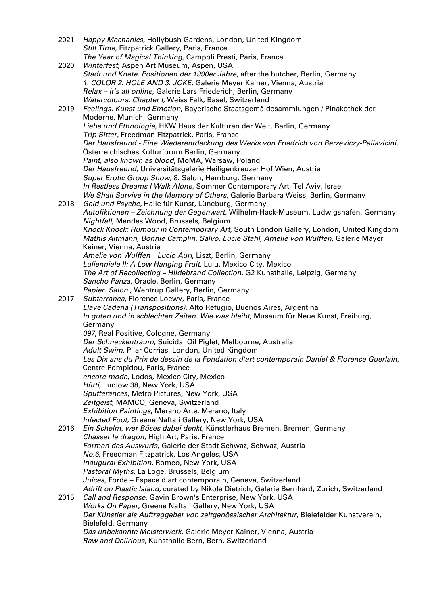| 2021 | Happy Mechanics, Hollybush Gardens, London, United Kingdom                                                                                                                     |
|------|--------------------------------------------------------------------------------------------------------------------------------------------------------------------------------|
|      | Still Time, Fitzpatrick Gallery, Paris, France                                                                                                                                 |
|      | The Year of Magical Thinking, Campoli Presti, Paris, France                                                                                                                    |
| 2020 | Winterfest, Aspen Art Museum, Aspen, USA<br>Stadt und Knete. Positionen der 1990er Jahre, after the butcher, Berlin, Germany                                                   |
|      | 1. COLOR 2. HOLE AND 3. JOKE, Galerie Meyer Kainer, Vienna, Austria                                                                                                            |
|      | Relax - it's all online, Galerie Lars Friederich, Berlin, Germany                                                                                                              |
|      | Watercolours, Chapter I, Weiss Falk, Basel, Switzerland                                                                                                                        |
| 2019 | Feelings. Kunst und Emotion, Bayerische Staatsgemäldesammlungen / Pinakothek der                                                                                               |
|      | Moderne, Munich, Germany                                                                                                                                                       |
|      | Liebe und Ethnologie, HKW Haus der Kulturen der Welt, Berlin, Germany                                                                                                          |
|      | Trip Sitter, Freedman Fitzpatrick, Paris, France                                                                                                                               |
|      | Der Hausfreund - Eine Wiederentdeckung des Werks von Friedrich von Berzeviczy-Pallavicini,<br>Österreichisches Kulturforum Berlin, Germany                                     |
|      | Paint, also known as blood, MoMA, Warsaw, Poland                                                                                                                               |
|      | Der Hausfreund, Universitätsgalerie Heiligenkreuzer Hof Wien, Austria                                                                                                          |
|      | Super Erotic Group Show, 8. Salon, Hamburg, Germany                                                                                                                            |
|      | In Restless Dreams I Walk Alone, Sommer Contemporary Art, Tel Aviv, Israel                                                                                                     |
|      | We Shall Survive in the Memory of Others, Galerie Barbara Weiss, Berlin, Germany                                                                                               |
| 2018 | Geld und Psyche, Halle für Kunst, Lüneburg, Germany                                                                                                                            |
|      | Autofiktionen - Zeichnung der Gegenwart, Wilhelm-Hack-Museum, Ludwigshafen, Germany                                                                                            |
|      | Nightfall, Mendes Wood, Brussels, Belgium                                                                                                                                      |
|      | Knock Knock: Humour in Contemporary Art, South London Gallery, London, United Kingdom<br>Mathis Altmann, Bonnie Camplin, Salvo, Lucie Stahl, Amelie von Wulffen, Galerie Mayer |
|      | Keiner, Vienna, Austria                                                                                                                                                        |
|      | Amelie von Wulffen   Lucio Auri, Liszt, Berlin, Germany                                                                                                                        |
|      | Lulienniale II: A Low Hanging Fruit, Lulu, Mexico City, Mexico                                                                                                                 |
|      | The Art of Recollecting - Hildebrand Collection, G2 Kunsthalle, Leipzig, Germany                                                                                               |
|      | Sancho Panza, Oracle, Berlin, Germany                                                                                                                                          |
|      | Papier. Salon., Wentrup Gallery, Berlin, Germany                                                                                                                               |
| 2017 | Subterranea, Florence Loewy, Paris, France                                                                                                                                     |
|      | Llave Cadena (Transpositions), Alto Refugio, Buenos Aires, Argentina<br>In guten und in schlechten Zeiten. Wie was bleibt, Museum für Neue Kunst, Freiburg,                    |
|      | Germany                                                                                                                                                                        |
|      | 097, Real Positive, Cologne, Germany                                                                                                                                           |
|      | Der Schneckentraum, Suicidal Oil Piglet, Melbourne, Australia                                                                                                                  |
|      | Adult Swim, Pilar Corrias, London, United Kingdom                                                                                                                              |
|      | Les Dix ans du Prix de dessin de la Fondation d'art contemporain Daniel & Florence Guerlain,                                                                                   |
|      | Centre Pompidou, Paris, France                                                                                                                                                 |
|      | encore mode, Lodos, Mexico City, Mexico                                                                                                                                        |
|      | Hütti, Ludlow 38, New York, USA<br>Sputterances, Metro Pictures, New York, USA                                                                                                 |
|      | Zeitgeist, MAMCO, Geneva, Switzerland                                                                                                                                          |
|      | Exhibition Paintings, Merano Arte, Merano, Italy                                                                                                                               |
|      | Infected Foot, Greene Naftali Gallery, New York, USA                                                                                                                           |
| 2016 | Ein Schelm, wer Böses dabei denkt, Künstlerhaus Bremen, Bremen, Germany                                                                                                        |
|      | Chasser le dragon, High Art, Paris, France                                                                                                                                     |
|      | Formen des Auswurfs, Galerie der Stadt Schwaz, Schwaz, Austria                                                                                                                 |
|      | No.6, Freedman Fitzpatrick, Los Angeles, USA                                                                                                                                   |
|      | Inaugural Exhibition, Romeo, New York, USA<br>Pastoral Myths, La Loge, Brussels, Belgium                                                                                       |
|      | Juices, Forde - Espace d'art contemporain, Geneva, Switzerland                                                                                                                 |
|      | Adrift on Plastic Island, curated by Nikola Dietrich, Galerie Bernhard, Zurich, Switzerland                                                                                    |
| 2015 | Call and Response, Gavin Brown's Enterprise, New York, USA                                                                                                                     |
|      | Works On Paper, Greene Naftali Gallery, New York, USA                                                                                                                          |
|      | Der Künstler als Auftraggeber von zeitgenössischer Architektur, Bielefelder Kunstverein,                                                                                       |
|      | Bielefeld, Germany<br>Das unbekannte Meisterwerk, Galerie Meyer Kainer, Vienna, Austria                                                                                        |
|      | Raw and Delirious, Kunsthalle Bern, Bern, Switzerland                                                                                                                          |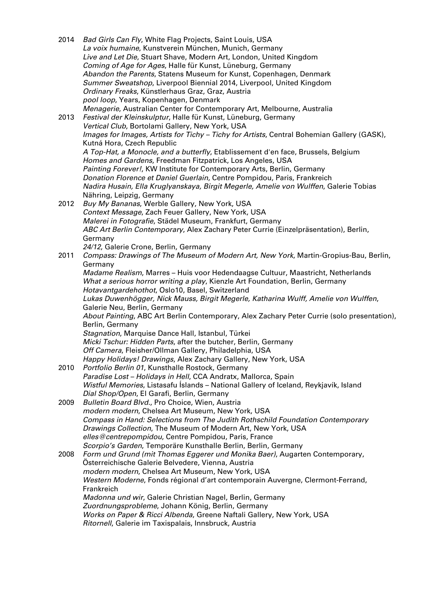| 2014 | Bad Girls Can Fly, White Flag Projects, Saint Louis, USA<br>La voix humaine, Kunstverein München, Munich, Germany<br>Live and Let Die, Stuart Shave, Modern Art, London, United Kingdom<br>Coming of Age for Ages, Halle für Kunst, Lüneburg, Germany<br>Abandon the Parents, Statens Museum for Kunst, Copenhagen, Denmark<br>Summer Sweatshop, Liverpool Biennial 2014, Liverpool, United Kingdom<br>Ordinary Freaks, Künstlerhaus Graz, Graz, Austria<br>pool loop, Years, Kopenhagen, Denmark                                                                                                                                                                                                                         |
|------|---------------------------------------------------------------------------------------------------------------------------------------------------------------------------------------------------------------------------------------------------------------------------------------------------------------------------------------------------------------------------------------------------------------------------------------------------------------------------------------------------------------------------------------------------------------------------------------------------------------------------------------------------------------------------------------------------------------------------|
| 2013 | Menagerie, Australian Center for Contemporary Art, Melbourne, Australia<br>Festival der Kleinskulptur, Halle für Kunst, Lüneburg, Germany<br>Vertical Club, Bortolami Gallery, New York, USA<br>Images for Images, Artists for Tichy - Tichy for Artists, Central Bohemian Gallery (GASK),<br>Kutná Hora, Czech Republic<br>A Top-Hat, a Monocle, and a butterfly, Etablissement d'en face, Brussels, Belgium<br>Homes and Gardens, Freedman Fitzpatrick, Los Angeles, USA<br>Painting Forever!, KW Institute for Contemporary Arts, Berlin, Germany<br>Donation Florence et Daniel Guerlain, Centre Pompidou, Paris, Frankreich<br>Nadira Husain, Ella Kruglyanskaya, Birgit Megerle, Amelie von Wulffen, Galerie Tobias |
|      | Nähring, Leipzig, Germany                                                                                                                                                                                                                                                                                                                                                                                                                                                                                                                                                                                                                                                                                                 |
| 2012 | Buy My Bananas, Werble Gallery, New York, USA                                                                                                                                                                                                                                                                                                                                                                                                                                                                                                                                                                                                                                                                             |
|      | Context Message, Zach Feuer Gallery, New York, USA                                                                                                                                                                                                                                                                                                                                                                                                                                                                                                                                                                                                                                                                        |
|      | Malerei in Fotografie, Städel Museum, Frankfurt, Germany<br>ABC Art Berlin Contemporary, Alex Zachary Peter Currie (Einzelpräsentation), Berlin,                                                                                                                                                                                                                                                                                                                                                                                                                                                                                                                                                                          |
|      | Germany                                                                                                                                                                                                                                                                                                                                                                                                                                                                                                                                                                                                                                                                                                                   |
|      | 24/12, Galerie Crone, Berlin, Germany                                                                                                                                                                                                                                                                                                                                                                                                                                                                                                                                                                                                                                                                                     |
| 2011 | Compass: Drawings of The Museum of Modern Art, New York, Martin-Gropius-Bau, Berlin,                                                                                                                                                                                                                                                                                                                                                                                                                                                                                                                                                                                                                                      |
|      | Germany                                                                                                                                                                                                                                                                                                                                                                                                                                                                                                                                                                                                                                                                                                                   |
|      | Madame Realism, Marres - Huis voor Hedendaagse Cultuur, Maastricht, Netherlands<br>What a serious horror writing a play, Kienzle Art Foundation, Berlin, Germany                                                                                                                                                                                                                                                                                                                                                                                                                                                                                                                                                          |
|      | Hotavantgardehothot, Oslo10, Basel, Switzerland                                                                                                                                                                                                                                                                                                                                                                                                                                                                                                                                                                                                                                                                           |
|      | Lukas Duwenhögger, Nick Mauss, Birgit Megerle, Katharina Wulff, Amelie von Wulffen,                                                                                                                                                                                                                                                                                                                                                                                                                                                                                                                                                                                                                                       |
|      | Galerie Neu, Berlin, Germany                                                                                                                                                                                                                                                                                                                                                                                                                                                                                                                                                                                                                                                                                              |
|      | About Painting, ABC Art Berlin Contemporary, Alex Zachary Peter Currie (solo presentation),                                                                                                                                                                                                                                                                                                                                                                                                                                                                                                                                                                                                                               |
|      | Berlin, Germany                                                                                                                                                                                                                                                                                                                                                                                                                                                                                                                                                                                                                                                                                                           |
|      | Stagnation, Marquise Dance Hall, Istanbul, Türkei                                                                                                                                                                                                                                                                                                                                                                                                                                                                                                                                                                                                                                                                         |
|      | Micki Tschur: Hidden Parts, after the butcher, Berlin, Germany<br>Off Camera, Fleisher/Ollman Gallery, Philadelphia, USA                                                                                                                                                                                                                                                                                                                                                                                                                                                                                                                                                                                                  |
|      | Happy Holidays! Drawings, Alex Zachary Gallery, New York, USA                                                                                                                                                                                                                                                                                                                                                                                                                                                                                                                                                                                                                                                             |
| 2010 | Portfolio Berlin 01, Kunsthalle Rostock, Germany                                                                                                                                                                                                                                                                                                                                                                                                                                                                                                                                                                                                                                                                          |
|      | Paradise Lost - Holidays in Hell, CCA Andratx, Mallorca, Spain                                                                                                                                                                                                                                                                                                                                                                                                                                                                                                                                                                                                                                                            |
|      | Wistful Memories, Listasafu İslands - National Gallery of Iceland, Reykjavík, Island                                                                                                                                                                                                                                                                                                                                                                                                                                                                                                                                                                                                                                      |
|      | Dial Shop/Open, El Garafi, Berlin, Germany                                                                                                                                                                                                                                                                                                                                                                                                                                                                                                                                                                                                                                                                                |
| 2009 | Bulletin Board Blvd., Pro Choice, Wien, Austria                                                                                                                                                                                                                                                                                                                                                                                                                                                                                                                                                                                                                                                                           |
|      | modern modern, Chelsea Art Museum, New York, USA<br>Compass in Hand: Selections from The Judith Rothschild Foundation Contemporary                                                                                                                                                                                                                                                                                                                                                                                                                                                                                                                                                                                        |
|      | Drawings Collection, The Museum of Modern Art, New York, USA                                                                                                                                                                                                                                                                                                                                                                                                                                                                                                                                                                                                                                                              |
|      | elles@centrepompidou, Centre Pompidou, Paris, France                                                                                                                                                                                                                                                                                                                                                                                                                                                                                                                                                                                                                                                                      |
|      | Scorpio's Garden, Temporäre Kunsthalle Berlin, Berlin, Germany                                                                                                                                                                                                                                                                                                                                                                                                                                                                                                                                                                                                                                                            |
| 2008 | Form und Grund (mit Thomas Eggerer und Monika Baer), Augarten Contemporary,                                                                                                                                                                                                                                                                                                                                                                                                                                                                                                                                                                                                                                               |
|      | Österreichische Galerie Belvedere, Vienna, Austria                                                                                                                                                                                                                                                                                                                                                                                                                                                                                                                                                                                                                                                                        |
|      | modern modern, Chelsea Art Museum, New York, USA<br>Western Moderne, Fonds régional d'art contemporain Auvergne, Clermont-Ferrand,                                                                                                                                                                                                                                                                                                                                                                                                                                                                                                                                                                                        |
|      | Frankreich                                                                                                                                                                                                                                                                                                                                                                                                                                                                                                                                                                                                                                                                                                                |
|      | Madonna und wir, Galerie Christian Nagel, Berlin, Germany                                                                                                                                                                                                                                                                                                                                                                                                                                                                                                                                                                                                                                                                 |
|      | Zuordnungsprobleme, Johann König, Berlin, Germany                                                                                                                                                                                                                                                                                                                                                                                                                                                                                                                                                                                                                                                                         |
|      | Works on Paper & Ricci Albenda, Greene Naftali Gallery, New York, USA                                                                                                                                                                                                                                                                                                                                                                                                                                                                                                                                                                                                                                                     |
|      | Ritornell, Galerie im Taxispalais, Innsbruck, Austria                                                                                                                                                                                                                                                                                                                                                                                                                                                                                                                                                                                                                                                                     |